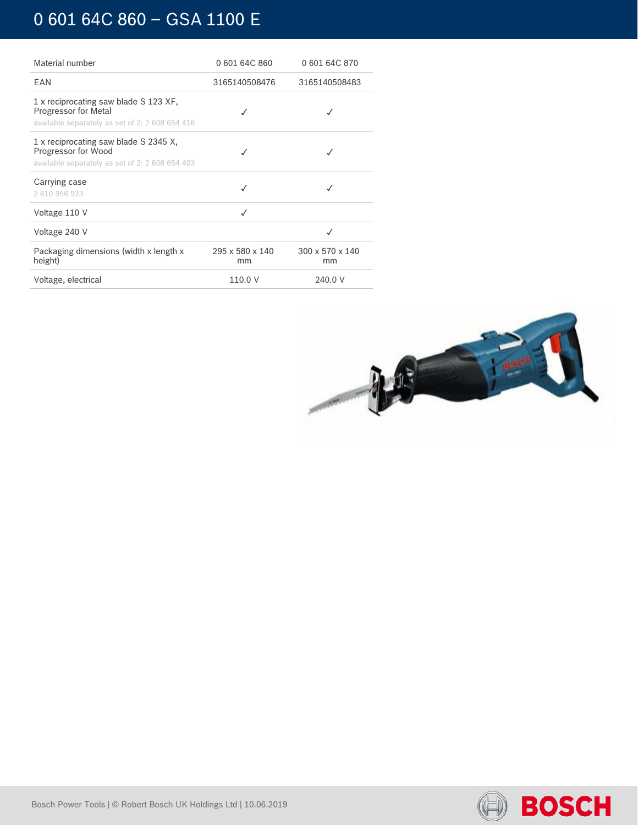# 0 601 64C 860 – GSA 1100 E

| Material number                                                                                                  | 060164C860            | 0 601 64C 870                     |
|------------------------------------------------------------------------------------------------------------------|-----------------------|-----------------------------------|
| <b>FAN</b>                                                                                                       | 3165140508476         | 3165140508483                     |
| 1 x reciprocating saw blade S 123 XF,<br>Progressor for Metal<br>available separately as set of 2: 2 608 654 416 |                       | √                                 |
| 1 x reciprocating saw blade S 2345 X,<br>Progressor for Wood<br>available separately as set of 2: 2 608 654 403  |                       |                                   |
| Carrying case<br>2610956923                                                                                      |                       |                                   |
| Voltage 110 V                                                                                                    | √                     |                                   |
| Voltage 240 V                                                                                                    |                       |                                   |
| Packaging dimensions (width x length x<br>height)                                                                | 295 x 580 x 140<br>mm | $300 \times 570 \times 140$<br>mm |
| Voltage, electrical                                                                                              | 110.0 V               | 240.0 V                           |